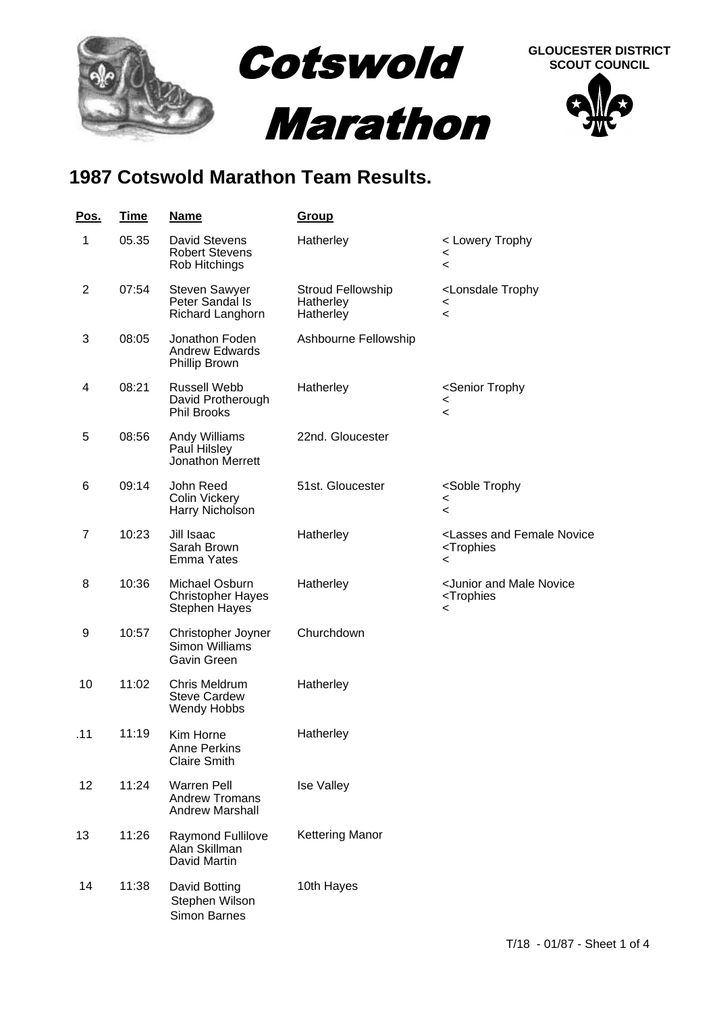

## **1987 Cotswold Marathon Team Results.**

| <u>Pos.</u> | <b>Time</b> | <u>Name</u>                                                           | <u>Group</u>                                |                                                                                               |
|-------------|-------------|-----------------------------------------------------------------------|---------------------------------------------|-----------------------------------------------------------------------------------------------|
| 1           | 05.35       | David Stevens<br><b>Robert Stevens</b><br>Rob Hitchings               | Hatherley                                   | < Lowery Trophy<br><<br><                                                                     |
| 2           | 07:54       | <b>Steven Sawyer</b><br>Peter Sandal Is<br>Richard Langhorn           | Stroud Fellowship<br>Hatherley<br>Hatherley | <lonsdale trophy<br="">&lt;<br/><math>\overline{\phantom{a}}</math></lonsdale>                |
| 3           | 08:05       | Jonathon Foden<br><b>Andrew Edwards</b><br>Phillip Brown              | Ashbourne Fellowship                        |                                                                                               |
| 4           | 08:21       | <b>Russell Webb</b><br>David Protherough<br><b>Phil Brooks</b>        | Hatherley                                   | <senior trophy<br=""><math>\,&lt;\,</math><br/>&lt;</senior>                                  |
| 5           | 08:56       | Andy Williams<br>Paul Hilsley<br>Jonathon Merrett                     | 22nd. Gloucester                            |                                                                                               |
| 6           | 09:14       | John Reed<br>Colin Vickery<br>Harry Nicholson                         | 51st. Gloucester                            | <soble trophy<br="">&lt;<br/>&lt;</soble>                                                     |
| 7           | 10:23       | Jill Isaac<br>Sarah Brown<br>Emma Yates                               | Hatherley                                   | <lasses and="" female="" novice<br=""><trophies<br>&lt;</trophies<br></lasses>                |
| 8           | 10:36       | Michael Osburn<br><b>Christopher Hayes</b><br><b>Stephen Hayes</b>    | Hatherley                                   | <junior and="" male="" novice<br=""><trophies<br><math>\,&lt;\,</math></trophies<br></junior> |
| 9           | 10:57       | Christopher Joyner<br><b>Simon Williams</b><br>Gavin Green            | Churchdown                                  |                                                                                               |
| 10          | 11:02       | Chris Meldrum<br><b>Steve Cardew</b><br>Wendy Hobbs                   | Hatherley                                   |                                                                                               |
| .11         | 11:19       | Kim Horne<br><b>Anne Perkins</b><br><b>Claire Smith</b>               | Hatherley                                   |                                                                                               |
| 12          | 11:24       | <b>Warren Pell</b><br><b>Andrew Tromans</b><br><b>Andrew Marshall</b> | <b>Ise Valley</b>                           |                                                                                               |
| 13          | 11:26       | Raymond Fullilove<br>Alan Skillman<br>David Martin                    | <b>Kettering Manor</b>                      |                                                                                               |
| 14          | 11:38       | David Botting<br>Stephen Wilson<br>Simon Barnes                       | 10th Hayes                                  |                                                                                               |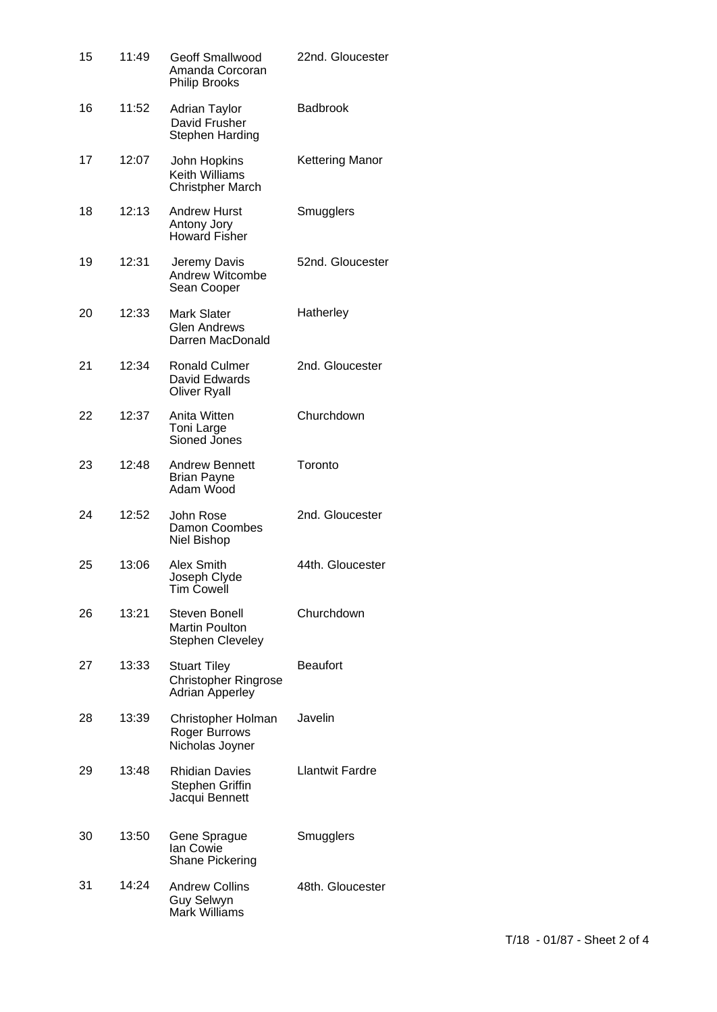| 15 | 11:49 | Geoff Smallwood<br>Amanda Corcoran<br><b>Philip Brooks</b>            | 22nd. Gloucester       |
|----|-------|-----------------------------------------------------------------------|------------------------|
| 16 | 11:52 | <b>Adrian Taylor</b><br>David Frusher<br>Stephen Harding              | <b>Badbrook</b>        |
| 17 | 12:07 | John Hopkins<br><b>Keith Williams</b><br><b>Christpher March</b>      | <b>Kettering Manor</b> |
| 18 | 12:13 | <b>Andrew Hurst</b><br>Antony Jory<br><b>Howard Fisher</b>            | Smugglers              |
| 19 | 12:31 | Jeremy Davis<br>Andrew Witcombe<br>Sean Cooper                        | 52nd. Gloucester       |
| 20 | 12:33 | <b>Mark Slater</b><br>Glen Andrews<br>Darren MacDonald                | Hatherley              |
| 21 | 12:34 | <b>Ronald Culmer</b><br>David Edwards<br><b>Oliver Ryall</b>          | 2nd. Gloucester        |
| 22 | 12:37 | Anita Witten<br>Toni Large<br>Sioned Jones                            | Churchdown             |
| 23 | 12:48 | <b>Andrew Bennett</b><br><b>Brian Payne</b><br>Adam Wood              | Toronto                |
| 24 | 12:52 | John Rose<br>Damon Coombes<br>Niel Bishop                             | 2nd. Gloucester        |
| 25 | 13:06 | Alex Smith<br>Joseph Clyde<br>Tim Cowell                              | 44th. Gloucester       |
| 26 | 13:21 | Steven Bonell<br><b>Martin Poulton</b><br><b>Stephen Cleveley</b>     | Churchdown             |
| 27 | 13:33 | <b>Stuart Tiley</b><br>Christopher Ringrose<br><b>Adrian Apperley</b> | <b>Beaufort</b>        |
| 28 | 13:39 | Christopher Holman<br>Roger Burrows<br>Nicholas Joyner                | Javelin                |
| 29 | 13:48 | <b>Rhidian Davies</b><br>Stephen Griffin<br>Jacqui Bennett            | <b>Llantwit Fardre</b> |
| 30 | 13:50 | Gene Sprague<br>Ian Cowie<br><b>Shane Pickering</b>                   | Smugglers              |
| 31 | 14:24 | <b>Andrew Collins</b><br>Guy Selwyn<br>Mark Williams                  | 48th. Gloucester       |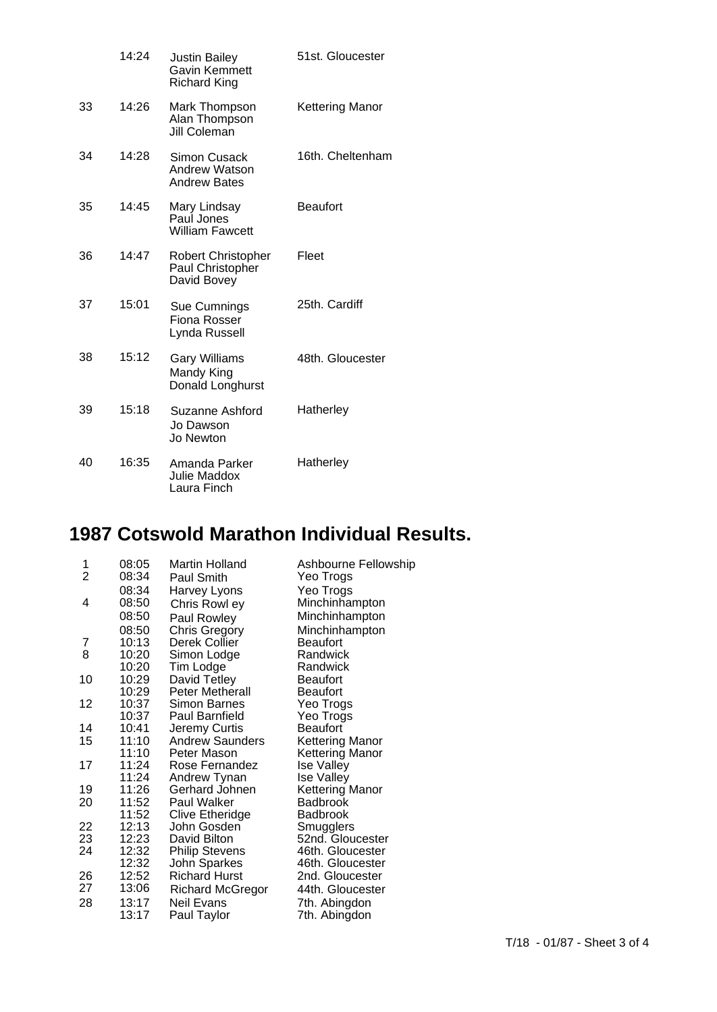|    | 14:24 | <b>Justin Bailey</b><br>Gavin Kemmett<br><b>Richard King</b> | 51st. Gloucester |
|----|-------|--------------------------------------------------------------|------------------|
| 33 | 14:26 | Mark Thompson<br>Alan Thompson<br><b>Jill Coleman</b>        | Kettering Manor  |
| 34 | 14:28 | Simon Cusack<br>Andrew Watson<br><b>Andrew Bates</b>         | 16th. Cheltenham |
| 35 | 14:45 | Mary Lindsay<br>Paul Jones<br><b>William Fawcett</b>         | <b>Beaufort</b>  |
| 36 | 14:47 | Robert Christopher<br>Paul Christopher<br>David Bovey        | Fleet            |
| 37 | 15:01 | Sue Cumnings<br>Fiona Rosser<br>Lynda Russell                | 25th. Cardiff    |
| 38 | 15:12 | <b>Gary Williams</b><br>Mandy King<br>Donald Longhurst       | 48th. Gloucester |
| 39 | 15:18 | Suzanne Ashford<br>Jo Dawson<br>Jo Newton                    | Hatherley        |
| 40 | 16:35 | Amanda Parker<br>Julie Maddox<br>Laura Finch                 | Hatherley        |

## **1987 Cotswold Marathon Individual Results.**

| 1  | 08:05 | Martin Holland          | Ashbourne Fellowship |
|----|-------|-------------------------|----------------------|
| 2  | 08:34 | Paul Smith              | Yeo Trogs            |
|    | 08:34 | Harvey Lyons            | Yeo Trogs            |
| 4  | 08:50 | Chris Rowl ey           | Minchinhampton       |
|    | 08:50 | <b>Paul Rowley</b>      | Minchinhampton       |
|    | 08:50 | <b>Chris Gregory</b>    | Minchinhampton       |
| 7  | 10:13 | Derek Collier           | <b>Beaufort</b>      |
| 8  | 10:20 | Simon Lodge             | Randwick             |
|    | 10:20 | Tim Lodge               | Randwick             |
| 10 | 10:29 | David Tetley            | Beaufort             |
|    | 10:29 | <b>Peter Metherall</b>  | Beaufort             |
| 12 | 10:37 | Simon Barnes            | Yeo Trogs            |
|    | 10:37 | Paul Barnfield          | Yeo Trogs            |
| 14 | 10:41 | Jeremy Curtis           | <b>Beaufort</b>      |
| 15 | 11:10 | <b>Andrew Saunders</b>  | Kettering Manor      |
|    | 11:10 | Peter Mason             | Kettering Manor      |
| 17 | 11:24 | Rose Fernandez          | <b>Ise Valley</b>    |
|    | 11:24 | Andrew Tynan            | <b>Ise Valley</b>    |
| 19 | 11:26 | Gerhard Johnen          | Kettering Manor      |
| 20 | 11:52 | <b>Paul Walker</b>      | <b>Badbrook</b>      |
|    | 11:52 | Clive Etheridge         | Badbrook             |
| 22 | 12:13 | John Gosden             | Smugglers            |
| 23 | 12:23 | David Bilton            | 52nd. Gloucester     |
| 24 | 12:32 | <b>Philip Stevens</b>   | 46th. Gloucester     |
|    | 12:32 | John Sparkes            | 46th. Gloucester     |
| 26 | 12:52 | <b>Richard Hurst</b>    | 2nd. Gloucester      |
| 27 | 13:06 | <b>Richard McGregor</b> | 44th. Gloucester     |
| 28 | 13:17 | <b>Neil Evans</b>       | 7th. Abingdon        |
|    | 13:17 | Paul Taylor             | 7th. Abingdon        |
|    |       |                         |                      |